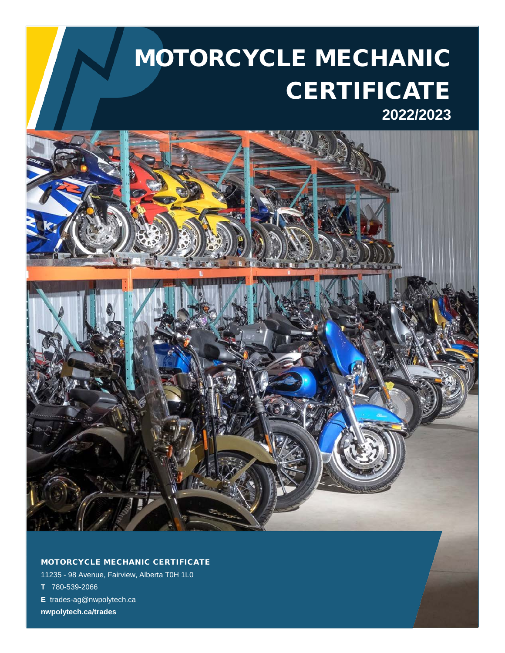# MOTORCYCLE MECHANIC **CERTIFICATE 2022/2023**



MOTORCYCLE MECHANIC CERTIFICATE

11235 - 98 Avenue, Fairview, Alberta T0H 1L0 **T** 780-539-2066 **E** trades-ag@nwpolytech.ca **nwpolytech.ca/trades**